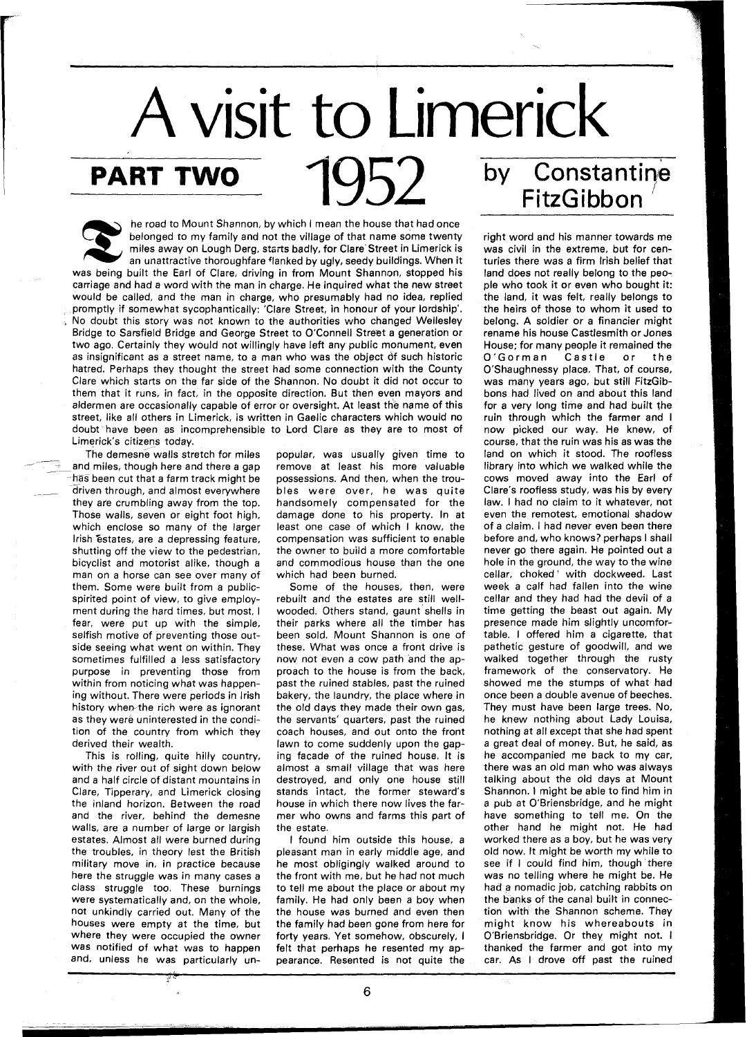## A visit to Limerick by **PART TWO** FitzGibbon

he road to Mount Shannon, by which I mean the house that had once belonged to my family and not the village of that name some twenty miles away on Lough Derg, starts badly, for Clare Street in Limerick is an unattractive thoroughfare flanked by ugly, seedy buildings. When it was being built the Earl of Clare, driving in from Mount Shannon, stopped his carriage and had a word with the man in charge. He inquired what the new street would be called, and the man in charge, who presumably had no idea, replied promptly if somewhat sycophantically: 'Clare Street, in honour of your lordship'. No doubt this story was not known to the authorities who changed Wellesley Bridge to Sarsfield Bridge and George Street to O'Connell Street a generation or two ago. Certainly they would not willingly have left any public monument, even as insignificant as a street name, to a man who was the object df such historic hatred. Perhaps they thought the street had some connection with the County Clare which starts on the far side of the Shannon. No doubt it did not occur to them that it runs, in fact, in the opposite direction. But then even mayors and aldermen are occasionally capable of error or oversight. At least the name of this street, like all others in Limerick, is written in Gaelic characters which would no doubt have been as incomprehensible to Lord Clare as they are to most of Limerick's citizens today.

The demesne walls stretch for miles and miles, though here and there a gap has been cut that a farm track might be driven through, and almost everywhere they are crumbling away from the top. Those walls, seven or eight foot high, which enclose so many of the larger Irish éstates, are a depressing feature, shutting off the view to the pedestrian, bicyclist and motorist alike, though a man on a horse can see over many of them. Some were built from a publicspirited point of view, to give employment during the hard times, but most, I fear, were put up with the simple, selfish motive of preventing those outside seeing what went on within. They sometimes fulfilled a less satisfactory purpose in preventing those from within from noticing what was happening without. There were periods in lrish history when the rich were as ignorant as they were uninterested in the condition of the country from which they derived their wealth.

This is rolling, quite hilly country, with the river out of sight down below and a half circle of distant mountains in Clare, Tipperary, and Limerick closing the inland horizon. Between the road and the river, behind the demesne walls, are a number of large or largish estates. Almost all were burned during the troubles, in theory lest the British military move in, in practice because here the struggle was in many cases a class struggle too. These burnings were systematically and, on the whole, not unkindly carried out. Many of the houses were empty at the time, but where they were occupied the owner was notified of what was to happen and, unless he was particularly unpopular, was usually given time to remove at least his more valuable possessions. And then, when the troubles were over, he was quite handsomely compensated for the damage done to his property. In at least one case of which I know, the compensation was sufficient to enable the owner to build a more comfortable and commodious house than the one which had been burned.

Some of the houses, then, were rebuilt and the estates are still wellwooded. Others stand, gaunt shells in their parks where all the timber has been sold. Mount Shannon is one of these. What was once a front drive is now not even a cow path and the approach to the house is from the back, past the ruined stables, past the ruined bakery, the laundry, the place where in the old days they made their own gas, the servants' quarters, past the ruined coach houses, and out onto the front lawn to come suddenly upon the gaping facade of the ruined house. It is almost a small village that was here destroyed, and only one house still stands intact, the former steward's house in which there now lives the farmer who owns and farms this part of the estate.

found him outside this house, a pleasant man in early middle age, and he most obligingly walked around to the front with me, but he had not much to tell me about the place or about my family. He had only been a boy when the house was burned and even then the family had been gone from here for forty years. Yet somehow, obscurely, I felt that perhaps he resented my appearance. Resented is not quite the

## Constantine

right word and his manner towards me was civil in the extreme, but for centuries there was a firm lrish belief that land does not really belong to the people who took it or even who bought it: the land, it was felt, really belongs to the heirs of those to whom it used to belong. A soldier or a financier might rename his house Castlesmith or Jones House; for many people it remained the<br>O'Gorman Castle or the O'Gorman Castle or the O'Shaughnessy place. That, of course, was many years ago, but still FitzGibbons had lived on and about this land for a very long time and had built the ruin through which the farmer and I now picked our way. He knew, of course, that the ruin was his as was the land on which it stood. The roofless library into which we walked while the cows moved away into the Earl of Clare's roofless study, was his by every law. I had no claim to it whatever, not even the remotest, emotional shadow of a claim. I had never even been there before and, who knows? perhaps I shall never go there again. He pointed out a hole in the ground, the way to the wine cellar, choked ' with dockweed. Last week a calf had fallen into the wine cellar and they had had the devil of a time getting the beast out again. My presence made him slightly uncomfortable. I offered him a cigarette, that pathetic gesture of goodwill, and we walked together through the rusty framework of the conservatory. He showed me the stumps of what had once been a double avenue of beeches. They must have been large trees. No, he knew nothing about Lady Louisa, nothing at all except that she had spent a great deal of money. But, he said, as he accompanied me back to my car, there was an old man who was always talking about the old days at Mount Shannon. I might be able to find him in a pub at O'Briensbridge, and he might have something to tell me. On the other hand he might not. He had worked there as a boy, but he was very old now. It might be worth my while to see if I could find him, though there was no telling where he might be. He had a nomadic job, catching rabbits on the banks of the canal built in connection with the Shannon scheme. They might know his whereabouts in O'Briensbridge. Or they might not. I thanked the farmer and got into my car. As I drove off past the ruined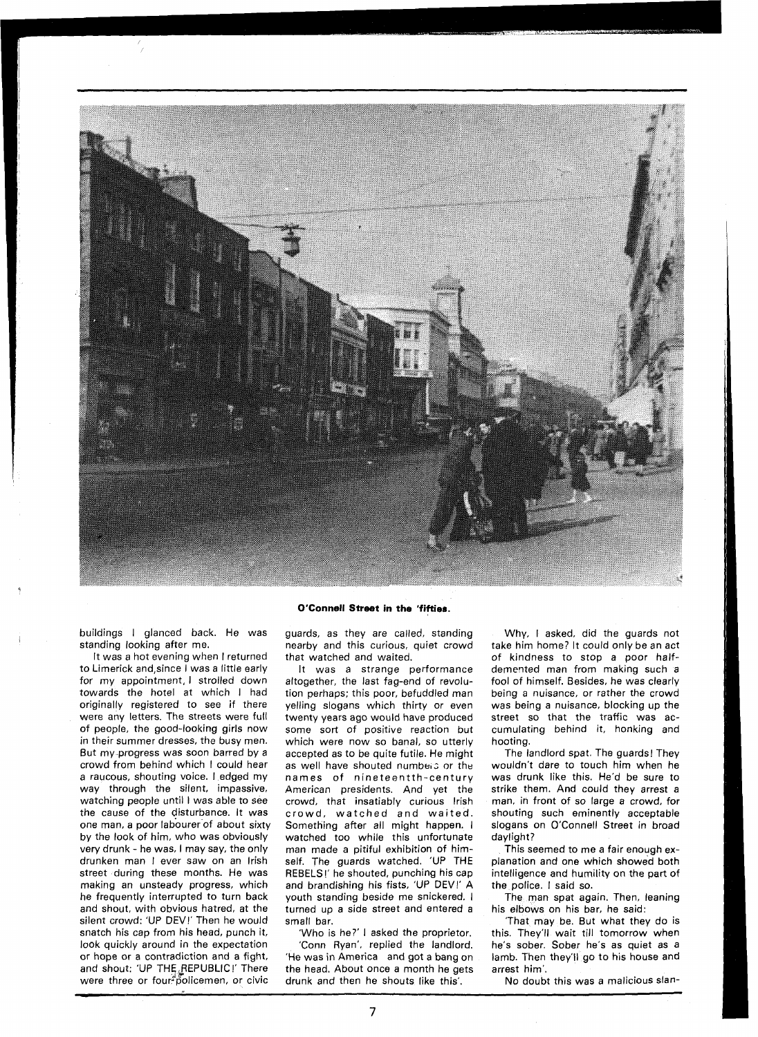

buildings I glanced back. He was standing looking after me.

It was a hot evening when I returned to Limerick and,since I was a little early for my appointment, I strolled down towards the hotel at which I had originally registered to see if there were any letters. The streets were full of people, the good-looking girls now in their summer dresses, the busy men. But my progress was soon barred by a crowd from behind which I could hear a raucous, shouting voice. I edged my way through the silent, impassive, watching people until I was able to see the cause of the disturbance. It was one man, a poor labourer of about sixty by the look of him, who was obviously very drunk - he was, I may say, the only drunken man I ever saw on an lrish street during these months. He was making an unsteady progress, which he frequently interrupted to turn back and shout, with obvious hatred, at the silent crowd: 'UP DEV!' Then he would snatch his cap from his head, punch it, look quickly around in the expectation or hope or a contradiction and a fight, and shout: 'UP THE REPUBLIC!' There were three or four\*policemen, or civic

## **O'Connell Street in the 'fifties.**

guards, as they are called, standing nearby and this curious, quiet crowd that watched and waited.

It was a strange performance altogether, the last fag-end of revolution perhaps; this poor, befuddled man yelling slogans which thirty or even twenty years ago would have produced some sort of positive reaction but which were now so banal, so utterly accepted as to be quite futile. He might as well have shouted numbers or the names of nineteentth-century American presidents. And yet the crowd, that insatiably curious lrish crowd, watched and waited. Something after all might happen. I watched too while this unfortunate man made a pitiful exhibition of himself. The guards watched. 'UP THE REBELS!' he shouted, punching his cap and brandishing his fists, 'UP DEV!' A youth standing beside me snickered. I turned up a side street and entered a small bar.

'Who is he?' I asked the proprietor. 'Conn Ryan', replied the landlord. 'He was in America and got a bang on the head. About once a month he gets drunk and then he shouts like this'.

Why, I asked, did the guards not take him home? It could only be an act of kindness to stop a poor halfdemented man from making such a fool of himself. Besides, he was clearly being a nuisance, or rather the crowd was being a nuisance, blocking up the street so that the traffic was accumulating behind it, honking and hooting.

The landlord spat. The guards! They wouldn't dare to touch him when he was drunk like this. He'd be sure to strike them. And could they arrest a man, in front of so large a crowd, for shouting such eminently acceptable slogans on O'Connell Street in broad daylight?

This seemed to me a fair enough explanation and one which showed both intelligence and humility on the part of the police. I said so.

The man spat again. Then, leaning his elbows on his bar, he said:

'That may be. But what they do is this. They'll wait till tomorrow when he's sober. Sober he's as quiet as a lamb. Then they'll go to his house and arrest him'.

No doubt this was a malicious slan-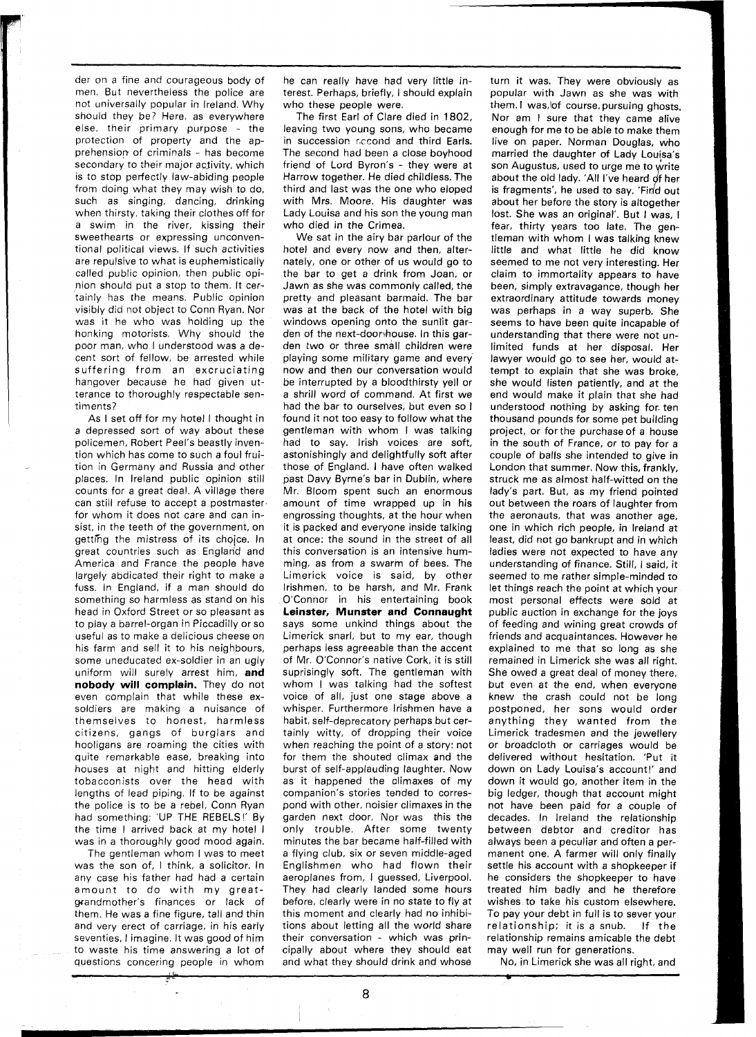der on a fine and courageous body of men. But nevertheless the police are not universally popular in Ireland. Why should they be? Here, as everywhere else, their primary purpose - the protection of property and the apprehension of criminals - has become secondary to their major activity, which is to stop perfectly law-abiding people from doing what they may wish to do, such as singing, dancing, drinking when thirsty, taking their clothes off for a swim in the river, kissing their sweethearts or expressing unconventional political views. If such activities are repulsive to what is euphemistically called public opinion, then public opinion should put a stop to them. It certainly has the means. Public opinion visibly did not object to Conn Ryan. Nor was it he who was holding up the honking motorists. Why should the poor man, who I understood was a decent sort of fellow, be arrested while suffering from an excruciating hangover because he had given utterance to thoroughly respectable sentiments?

As I set off for my hotel I thought in a depressed sort of way about these policemen, Robert Peel's beastly invention which has come to such a foul fruition in Germany and Russia and other places. In Ireland public opinion still counts for a great deal. A village there can still refuse to accept a postmaster for whom it does not care and can insist, in the teeth of the government, on getting the mistress of its choice. In great countries such as England and America and France the people have largely abdicated their right to make a fuss. In England, if a man should do something so harmless as stand on his head in Oxford Street or so pleasant as to play a barrel-organ in Piccadilly or so useful as to make a delicious cheese on his farm and sell it to his neighbours, some uneducated ex-soldier in an ugly uniform will surely arrest him, **and nobody will complain.** They do not even complain that while these exsoldiers are making a nuisance of themselves to honest, harmless citizens, gangs of burglars and hooligans are roaming the cities with quite remarkable ease, breaking into houses at night and hitting elderly tobacconists over the head with lengths of lead piping. If to be against the police is to be a rebel, Conn Ryan had something: 'UP THE REBELS!' By the time I arrived back at my hotel I was in a thoroughly good mood again.

The gentleman whom I was to meet was the son of, I think, a solicitor. In any case his father had had a certain amount to do with my greatgrandmother's finances or lack of them. He was a fine figure, tall and thin and very erect of carriage, in his early seventies, I imagine. It was good of him to waste his time answering a lot of questions concering people in whom

he can really have had very little interest. Perhaps, briefly, I should explain who these people were.

The first Earl of Clare died in 1802, leaving two young sons, who became in succession second and third Earls. The second had been a close boyhood friend of Lord Byron's - they were at Harrow together. He died childless. The third and last was the one who eloped with Mrs. Moore. His daughter was Lady Louisa and his son the young man who died in the Crimea.

We sat in the airy bar parlour of the hotel and every now and then, alternately, one or other of us would go to the bar to get a drink from Joan, or Jawn as she was commonly called, the pretty and pleasant barmaid. The bar was at the back of the hotel with big windows opening onto the sunlit garden of the next-door house. In this garden two or three small children were playing some military game and every now and then our conversation would be interrupted by a bloodthirsty yell or a shrill word of command. At first we had the bar to ourselves, but even so I found it not too easy to follow what the gentleman with whom I was talking had to say. Irish voices are soft, astonishingly and delightfully soft after those of England. I have often walked past Davy Byrne's bar in Dublin, where Mr. Bloom spent such an enormous amount of time wrapped up in his engrossing thoughts, at the hour when it is packed and everyone inside talking at once: the sound in the street of all this conversation is an intensive humming, as from a swarm of bees. The Limerick voice is said, by other Irishmen, to be harsh, and Mr. Frank O'Connor in his entertaining book **Leinster, Munster and Connaught**  says some unkind things about the Limerick snarl, but to my ear, though perhaps less agreeable than the accent of Mr. O'Connor's native Cork, it is still suprisingly soft. The gentleman with whom I was talking had the softest voice of all, just one stage above a whisper. Furthermore Irishmen have a habit, self-deprecatory perhaps but certainly witty, of dropping their voice when reaching the point of a story: not for them the shouted climax and the burst of self-applauding laughter. Now as it happened the climaxes of my companion's stories tended to correspond with other, noisier climaxes in the garden next door. Nor was this the only trouble. After some twenty minutes the bar became half-filled with a flying club, six or seven middle-aged Englishmen who had flown their aeroplanes from, I guessed, Liverpool. They had clearly landed some hours before, clearly were in no state to fly at this moment and clearly had no inhibitions about letting all the world share their conversation - which was principally about where they should eat and what they should drink and whose

turn it was. They were obviously as popular with Jawn as she was with them. I was, of course, pursuing ghosts. Nor am I sure that they came alive enough for me to be able to make them live on paper. Norman Douglas, who married the daughter of Lady Loujsa's son Augustus, used to urge me to write about the old lady. 'All I've heard of her is fragments', he used to say. 'Find out about her before the story is altogether lost. She was an original'. But I was, I fear, thirty years too late. The gentleman with whom I was talking knew little and what little he did know seemed to me not very interesting. Her claim to immortality appears to have been, simply extravagance, though her extraordinary attitude towards money was perhaps in a way superb. She seems to have been quite incapable of understanding that there were not unlimited funds at her disposal. Her lawyer would go to see her, would attempt to explain that she was broke, she would listen patiently, and at the end would make it plain that she had understood nothing by asking for ten thousand pounds for some pet building project, or for the purchase of a house in the south of France, or to pay for a couple of balls she intended to give in London that summer. Now this, frankly, struck me as almost half-witted on the lady's part. But, as my friend pointed out between the roars of laughter from the aeronauts, that was another age, one in which rich people, in Ireland at least, did not go bankrupt and in which ladies were not expected to have any understanding of finance. Still, I said, it seemed to me rather simple-minded to let things reach the point at which your most personal effects were sold at public auction in exchange for the joys of feeding and wining great crowds of friends and acquaintances. However he explained to me that so long as she remained in Limerick she was all right. She owed a great deal of money there, but even at the end, when everyone knew the crash could not be long postponed, her sons would order anything they wanted from the Limerick tradesmen and the jewellery or broadcloth or carriages would be delivered without hesitation. 'Put it down on Lady Louisa's account!' and down it would go, another item in the big ledger, though that account might not have been paid for a couple of decades. In Ireland the relationship between debtor and creditor has always been a peculiar and often a permanent one. A farmer will only finally settle his account with a shopkeeper if he considers the shopkeeper to have treated him badly and he therefore wishes to take his custom elsewhere. To pay your debt in full is to sever your relationship; it is a snub. If the relationship remains amicable the debt may well run for generations.

No, in Limerick she was all right, and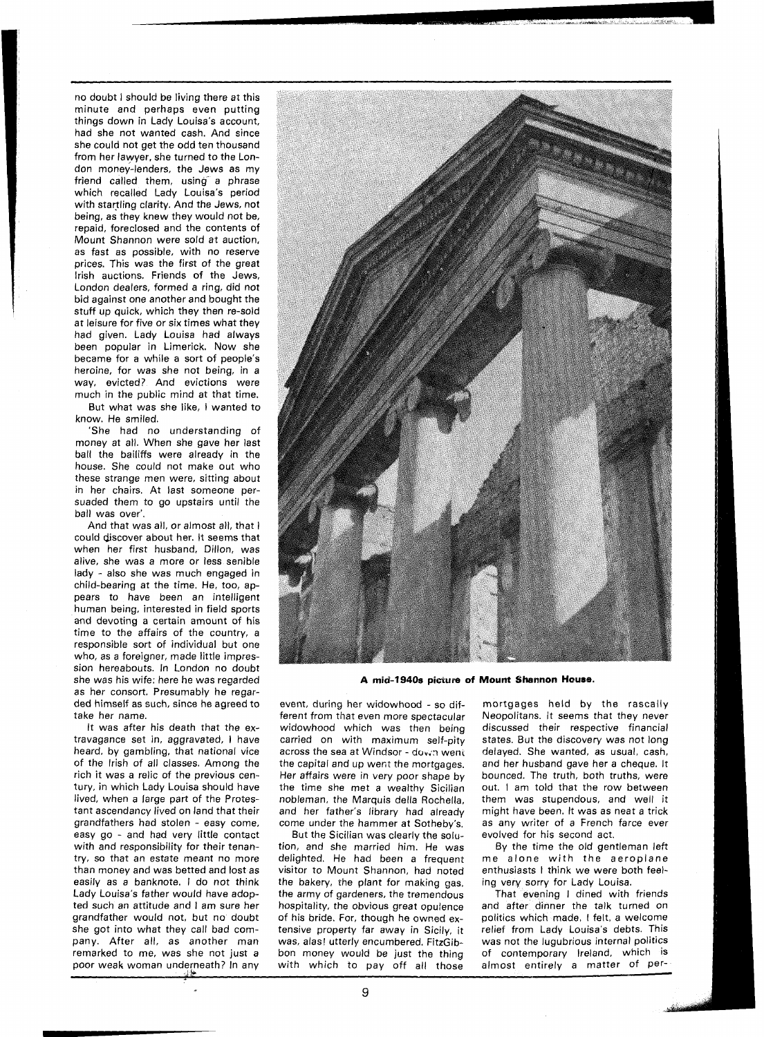no doubt I should be living there at this minute and perhaps even putting things down in Lady Louisa's account, had she not wanted cash. And since she could not get the odd ten thousand from her lawyer, she turned to the London money-lenders, the Jews as my friend called them, using a phrase which recalled Lady Louisa's period with startling clarity. And the Jews, not being, as they knew they would not be, repaid, foreclosed and the contents of Mount Shannon were sold at auction, as fast as possible, with no reserve prices. This was the first of the great lrish auctions. Friends of the Jews, London dealers, formed a ring, did not bid against one another and bought the stuff up quick, which they then re-sold at leisure for five or six times what they had given. Lady Louisa had always been popular in Limerick. Now she became for a while a sort of people's heroine, for was she not being, in a way, evicted? And evictions were much in the public mind at that time.

But what was she like, I wanted to know. He smiled.

'She had no understanding of money at all. When she gave her last ball the bailiffs were already in the house. She could not make out who these strange men were, sitting about in her chairs. At last someone persuaded them to go upstairs until the ball was over'.

And that was all, or almost all, that I could discover about her. It seems that when her first husband, Dillon, was alive, she was a more or less senible lady - also she was much engaged in child-bearing at the time. He, too, appears to have been an intelligent human being, interested in field sports and devoting a certain amount of his time to the affairs of the country, a responsible sort of individual but one who, as a foreigner, made little impression hereabouts. In London no doubt she was his wife: here he was regarded as her consort. Presumably he regarded himself as such, since he agreed to take her name.

It was after his death that the extravagance set in, aggravated, I have heard, by gambling, that national vice of the lrish of all classes. Among the rich it was a relic of the previous century, in which Lady Louisa should have lived, when a large part of the Protestant ascendancy lived on land that their grandfathers had stolen - easy come, easy go - and had very little contact with and responsibility for their tenantry, so that an estate meant no more than money and was betted and lost as easily as a banknote. I do not think Lady Louisa's father would have adopted such an attitude and I am sure her grandfather would not, but no doubt she got into what they call bad company. After all, as another man remarked to me, was she not just a poor weak woman underneath? In anv



**A mid-1940s picture of Mount Shannon House.** 

event, during her widowhood - so different from that even more spectacular widowhood which was then being carried on with maximum self-pity across the sea at Windsor - down went the capital and up went the mortgages. Her affairs were in very poor shape by the time she met a wealthy Sicilian nobleman, the Marquis della Rochella, and her father's library had aiready come under the hammer at Sotheby's.

But the Sicilian was clearly the solution, and she married him. He was delighted. He had been a frequent visitor to Mount Shannon, had noted the bakery, the plant for making gas, the army of gardeners, the tremendous hospitality, the obvious great opulence of his bride. For, though he owned extensive property far away in Sicily, it was, alas! utterly encumbered. FitzGibbon money would be just the thing with which to pay off all those

mortgages held by the rascally Neopolitans. it seems that they never discussed their respective financial states. But the discovery was not long delayed. She wanted, as usual, cash, and her husband gave her a cheque. It bounced. The truth, both truths, were out. I am told that the row between them was stupendous, and well it might have been. It was as neat a trick as any writer of a French farce ever evolved for his second act.

By the time the old gentleman left me alone with the aeroplane enthusiasts I think we were both feeling very sorry for Lady Louisa.

That evening I dined with friends and after dinner the talk turned on politics which made, I felt, a welcome relief from Lady Louisa's debts. This was not the lugubrious internal politics of contemporary Ireland, which is almost entirely a matter of per-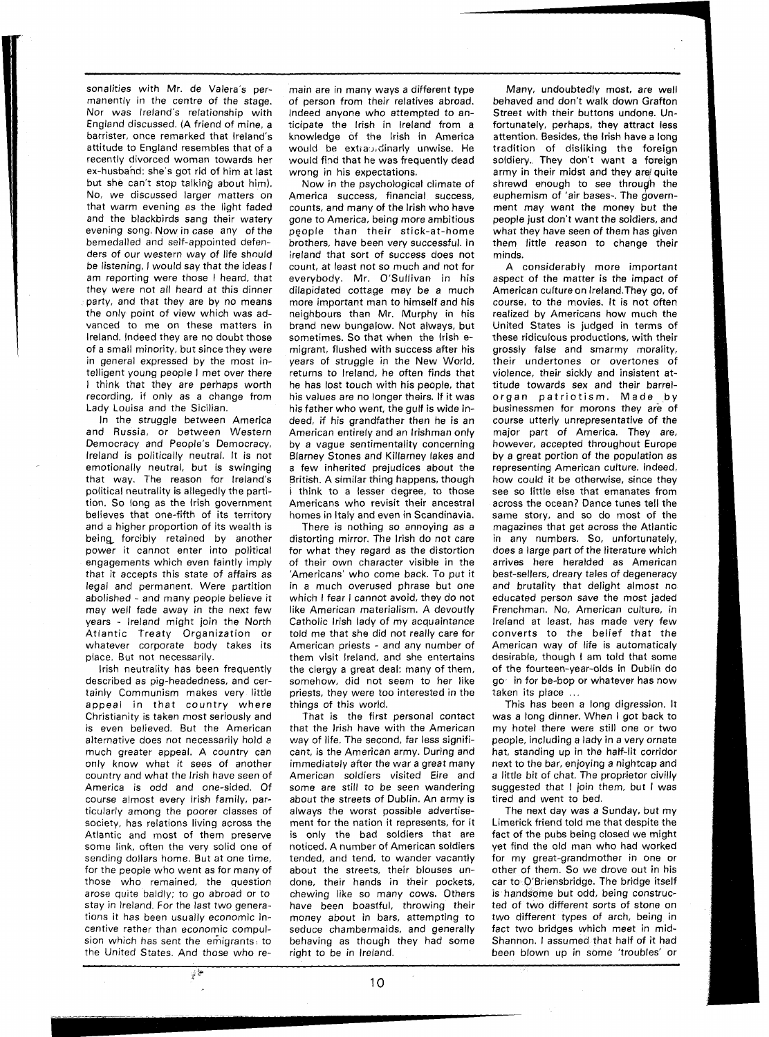sonalities with Mr. de Valera's permanently in the centre of the stage. Nor was Ireland's relationship with England discussed. (A friend of mine, a barrister, once remarked that Ireland's attitude to England resembles that of a recently divorced woman towards her ex-husband: she's got rid of him at last but she can't stop talking about him). No, we discussed larger matters on that warm evening as the light faded and the blackbirds sang their watery evening song. Now in case any of the bemedalled and self-appointed defenders of our western way of life should be listening, I would say that the ideas I am reporting were those I heard, that they were not all heard at this dinner party, and that they are by no means the only point of view which was advanced to me on these matters in Ireland. Indeed they are no doubt those of a small minority, but since they were in general expressed by the most intelligent young people I met over there I think that they are perhaps worth recording, if only as a change from Lady Louisa and the Sicilian.

In the struggle between America and Russia, or between Western Democracy and People's Democracy, lreland is politically neutral. It is not emotionally neutral, but is swinging that way. The reason for Ireland's political neutrality is allegedly the partition. So long as the lrish government believes that one-fifth of its territory and a higher proportion of its wealth is being forcibly retained by another power it cannot enter into political engagements which even faintly imply that it accepts this state of affairs as legal and permanent. Were partition abolished - and many people believe it may well fade away in the next few years - lreland might join the North Atlantic Treaty Organization or whatever corporate body takes its place. But not necessarily.

lrish neutrality has been frequently described as pig-headedness, and certainly Communism makes very little appeal in that country where Christianity is taken most seriously and is even believed. But the American alternative does not necessarily hold a much greater appeal. A country can only know what it sees of another country and what the lrish have seen of America is odd and one-sided. Of course almost every lrish family, particularly among the poorer classes of society, has relations living across the Atlantic and most of them preserve some link, often the very solid one of sending dollars home. But at one time, for the people who went as for many of those who remained, the question arose quite baldly; to go abroad or to stay in Ireland. For the last two generations it has been usually economic incentive rather than economic compulsion which has sent the emigrants, to the United States. And those who re-

 $\overline{\psi}$ 

main are in many ways a different type of person from their relatives abroad. Indeed anyone who attempted to anticipate the lrish in lreland from a knowledge of the lrish in America would be extrao-dinarly unwise. He would find that he was frequently dead wrong in his expectations.

Now in the psychological climate of America success, financial success, counts, and many of the lrish who have gone to America, being more ambitious people than their stick-at-home brothers, have been very successful. In ireland that sort of success does not count, at least not so much and not for everybody. Mr. O'Sullivan in his dilapidated cottage may be a much more important man to himself and his neighbours than Mr. Murphy in his brand new bungalow. Not always, but sometimes. So that when the lrish emigrant, flushed with success after his years of struggle in the New World, returns to Ireland, he often finds that he has lost touch with his people, that his values are no longer theirs. If it was his father who went, the gulf is wide indeed, if his grandfather then he is an American entirely and an Irishman only by a vague sentimentality concerning Blarney Stones and Killarney lakes and a few inherited prejudices about the British. A similar thing happens, though think to a lesser degree, to those Americans who revisit their ancestral homes in Italy and even in Scandinavia.

There is nothing so annoying as a distorting mirror. The lrish do not care for what they regard as the distortion of their own character visible in the 'Americans' who come back. To put it in a much overused phrase but one which I fear I cannot avoid, they do not like American materialism. A devoutly Catholic lrish lady of my acquaintance told me that she did not really care for American priests - and any number of them visit Ireland, and she entertains the clergy a great deal: many of them, somehow, did not seem to her like priests, they were too interested in the things of this world.

That is the first personal contact that the lrish have with the American way of life. The second, far less significant, is the American army. During and immediately after the war a great many American soldiers visited Eire and some are still to be seen wandering about the streets of Dublin. An army is always the worst possible advertisement for the nation it represents, for it is only the bad soldiers that are noticed. A number of American soldiers tended, and tend, to wander vacantly about the streets, their blouses undone, their hands in their pockets, chewing like so many cows. Others have been boastful, throwing their money about in bars, attempting to seduce chambermaids, and generally behaving as though they had some right to be in Ireland.

Many, undoubtedly most, are well behaved and don't walk down Grafton Street with their buttons undone. Unfortunately, perhaps, they attract less attention. Besides, the lrish have a long tradition of disliking the foreign soldiery. They don't want a foreign army in their midst and they are quite shrewd enough to see through the euphemism of 'air bases-. The government may want the money but the people just don't want the soldiers, and what they have seen of them has given them little reason to change their minds.

A considerably more important aspect of the matter is the impact of American culture on Ireland.They go, of course, to the movies. It is not often realized by Americans how much the United States is judged in terms of these ridiculous productions, with their grossly false and smarmy morality, their undertones or overtones of violence, their sickly and insistent attitude towards sex and their barrelorgan patriotism. Made by businessmen for morons they are of course utterly unrepresentative of the major part of America. They are, however, accepted throughout Europe by a great portion of the population as representing American culture. Indeed, how could it be otherwise, since they see so little else that emanates from across the ocean? Dance tunes tell the same story, and so do most of the magazines that get across the Atlantic in any numbers. So, unfortunately, does a large part of the literature which arrives here heralded as American best-sellers, dreary tales of degeneracy and brutality that delight almost no educated person save the most jaded Frenchman. No, American culture, in lreland at least, has made very few converts to the belief that the American way of life is automaticaly desirable, though I am told that some of the fourteen-year-olds in Dublin do go in for be-bop or whatever has now taken its place ...

This has been a long digression. It was a long dinner. When I got back to my hotel there were still one or two people, including a lady in a very ornate hat, standing up in the half-lit corridor next to the bar, enjoying a nightcap and a little bit of chat. The proprietor civilly suggested that I join them, but I was tired and went to bed.

The next day was a Sunday, but my Limerick friend told me that despite the fact of the pubs being closed we might yet find the old man who had worked for my great-grandmother in one or other of them. So we drove out in his car to O'Briensbridge. The bridge itself is handsome but odd, being constructed of two different sorts of stone on two different types of arch, being in fact two bridges which meet in mid-Shannon. I assumed that half of it had been blown up in some 'troubles' or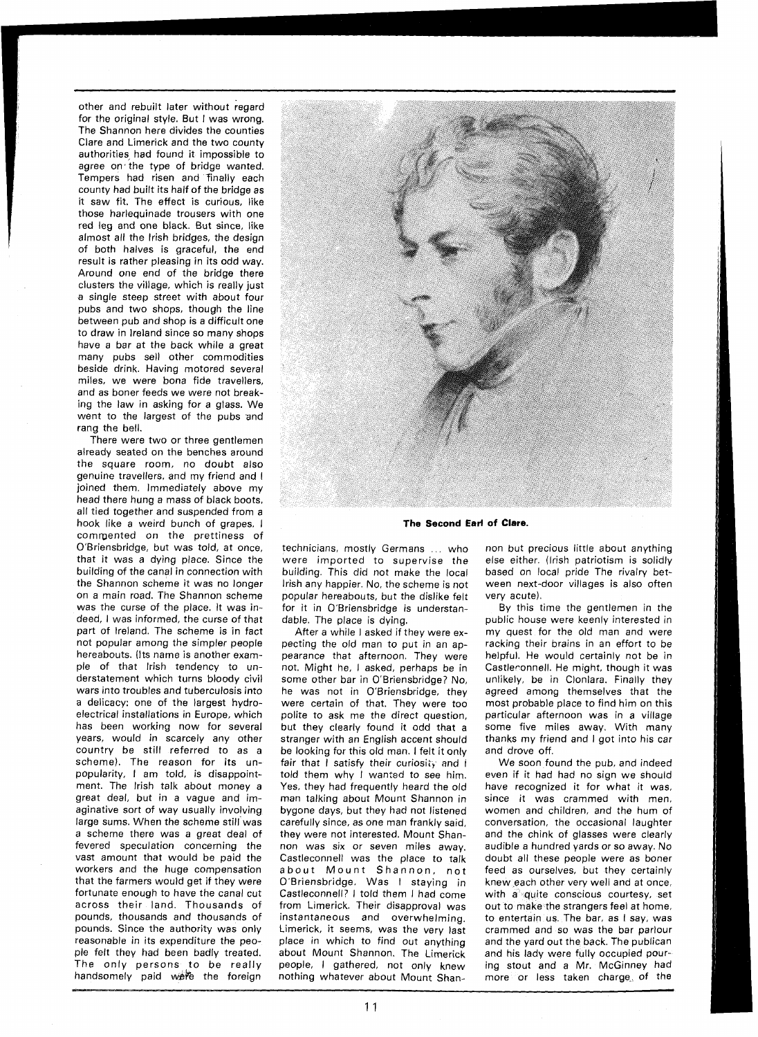other and rebuilt later without regard for the original style. But I was wrong. The Shannon here divides the counties Clare and Limerick and the two county authorities had found it impossible to agree on the type of bridge wanted. Tempers had risen and finally each county had built its half of the bridge as it saw fit. The effect is curious, like those harlequinade trousers with one red leg and one black. But since, like almost all the lrish bridges, the design of both halves is graceful, the end result is rather pleasing in its odd way. Around one end of the bridge there clusters the village, which is really just a single steep street with about four pubs and two shops, though the line between pub and shop is a difficult one to draw in Ireland since so many shops have a bar at the back while a great many pubs sell other commodities beside drink. Having motored several miles, we were bona fide travellers, and as boner feeds we were not breaking the law in asking for a glass. We went to the largest of the pubs and rang the bell.

There were two or three gentlemen already seated on the benches around the square room, no doubt also genuine travellers, and my friend and I joined them. Immediately above my head there hung a mass of black boots, all tied together and suspended from a hook like a weird bunch of grapes. I comrpented on the prettiness of O'Briensbridge, but was told, at once, that it was a dying place. Since the building of the canal in connection with the Shannon scheme it was no longer on a main road. The Shannon scheme was the curse of the place. It was indeed, I was informed, the curse of that part of Ireland. The scheme is in fact not popular among the simpler people hereabouts. (Its name is another example of that lrish tendency to understatement which turns bloody civil wars into troubles and tuberculosis into a delicacy: one of the largest hydroelectrical installations in Europe, which has been working now for several years, would in scarcely any other country be still referred to as a scheme). The reason for its unpopularity, I am told, is disappointment. The lrish talk about money a great deal, but in a vague and imaginative sort of way usually involving large sums. When the scheme still was a scheme there was a great deal of fevered speculation concerning the vast amount that would be paid the workers and the huge compensation that the farmers would get if they were fortunate enough to have the canal cut across their land. Thousands of pounds, thousands and thousands of pounds. Since the authority was only reasonable in its expenditure the people felt they had been badly treated. The only persons to be really handsomely paid were the foreign



**The Second Earl of Clare.** 

technicians, mostly Germans ... who were imported to supervise the building. This did not make the local lrish any happier. No, the scheme is not popular hereabouts, but the dislike felt for it in O'Briensbridge is understandable. The place is dying.

After a while I asked if they were expecting the old man to put in an appearance that afternoon. They were not. Might he, I asked, perhaps be in some other bar in O'Briensbridge? No, he was not in O'Briensbridge, they were certain of that. They were too polite to ask me the direct question, but they clearly found it odd that a stranger with an English accent should be looking for this old man. I felt it only fair that I satisfy their curiosity and  $\mathbf i$ told them why I wanted to see him. Yes, they had frequently heard the old man talking about Mount Shannon in bygone days, but they had not listened carefully since, as one man frankly said, they were not interested. Mount Shannon was six or seven miles away. Castleconnell was the place to talk about Mount Shannon, not O'Briensbridge. Was I staying in Castleconnell? I told them I had come from Limerick. Their disapproval was instantaneous and overwhelming. Limerick, it seems, was the very last place in which to find out anything about Mount Shannon. The Limerick people, I gathered, not only knew nothing whatever about Mount Shannon but precious little about anything else either. (Irish patriotism is solidly based on local pride The rivalry between next-door villages is also often very acute).

By this time the gentlemen in the public house were keenly interested in my quest for the old man and were racking their brains in an effort to be helpful. He would certainly not be in Castleconnell. He might, though it was unlikely, be in Clonlara. Finally they agreed among themselves that the most probable place to find him on this particular afternoon was in a village some five miles away. With many thanks my friend and I got into his car and drove off.

We soon found the pub, and indeed even if it had had no sign we should have recognized it for what it was, since it was crammed with men, women and children, and the hum of conversation, the occasional laughter and the chink of glasses were clearly audible a hundred yards or so away. No doubt all these people were as boner feed as ourselves, but they certainly knew each other very well and at once, with a quite conscious courtesy, set out to make the strangers feel at home, to entertain us. The bar, as I say, was crammed and so was the bar parlour and the yard out the back. The publican and his lady were fully occupied pouring stout and a Mr. McGinney had more or less taken charge, of the